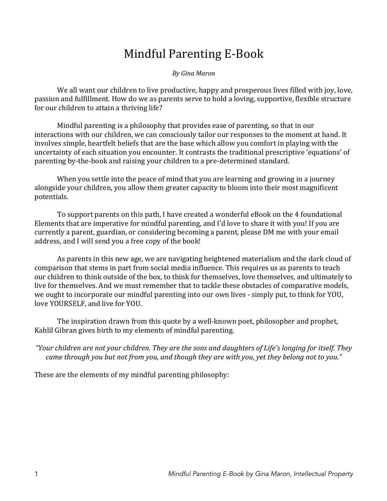# Mindful Parenting E-Book

*By Gina Maron*

We all want our children to live productive, happy and prosperous lives filled with joy, love, passion and fulfillment. How do we as parents serve to hold a loving, supportive, flexible structure for our children to attain a thriving life?

Mindful parenting is a philosophy that provides ease of parenting, so that in our interactions with our children, we can consciously tailor our responses to the moment at hand. It involves simple, heartfelt beliefs that are the base which allow you comfort in playing with the uncertainty of each situation you encounter. It contrasts the traditional prescriptive 'equations' of parenting by-the-book and raising your children to a pre-determined standard.

When you settle into the peace of mind that you are learning and growing in a journey alongside your children, you allow them greater capacity to bloom into their most magnificent potentials.

To support parents on this path, I have created a wonderful eBook on the 4 foundational Elements that are imperative for mindful parenting, and I'd love to share it with you! If you are currently a parent, guardian, or considering becoming a parent, please DM me with vour email address, and I will send you a free copy of the book!

As parents in this new age, we are navigating heightened materialism and the dark cloud of comparison that stems in part from social media influence. This requires us as parents to teach our children to think outside of the box, to think for themselves, love themselves, and ultimately to live for themselves. And we must remember that to tackle these obstacles of comparative models, we ought to incorporate our mindful parenting into our own lives - simply put, to think for YOU, love YOURSELF, and live for YOU.

The inspiration drawn from this quote by a well-known poet, philosopher and prophet, Kahlil Gibran gives birth to my elements of mindful parenting.

"Your children are not your children. They are the sons and daughters of Life's longing for itself. They *came through you but not from you, and though they are with you, yet they belong not to you."* 

These are the elements of my mindful parenting philosophy: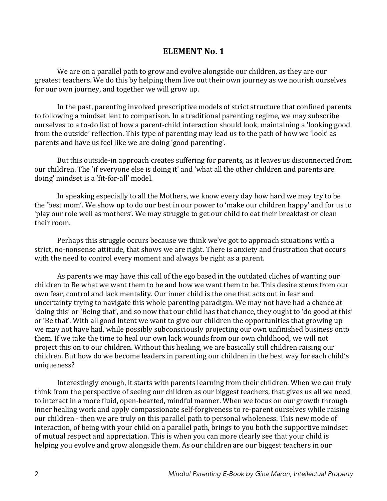## **ELEMENT No. 1**

We are on a parallel path to grow and evolve alongside our children, as they are our greatest teachers. We do this by helping them live out their own journey as we nourish ourselves for our own journey, and together we will grow up.

In the past, parenting involved prescriptive models of strict structure that confined parents to following a mindset lent to comparison. In a traditional parenting regime, we may subscribe ourselves to a to-do list of how a parent-child interaction should look, maintaining a 'looking good from the outside' reflection. This type of parenting may lead us to the path of how we 'look' as parents and have us feel like we are doing 'good parenting'.

But this outside-in approach creates suffering for parents, as it leaves us disconnected from our children. The 'if everyone else is doing it' and 'what all the other children and parents are doing' mindset is a 'fit-for-all' model.

In speaking especially to all the Mothers, we know every day how hard we may try to be the 'best mom'. We show up to do our best in our power to 'make our children happy' and for us to 'play our role well as mothers'. We may struggle to get our child to eat their breakfast or clean their room.

Perhaps this struggle occurs because we think we've got to approach situations with a strict, no-nonsense attitude, that shows we are right. There is anxiety and frustration that occurs with the need to control every moment and always be right as a parent.

As parents we may have this call of the ego based in the outdated cliches of wanting our children to Be what we want them to be and how we want them to be. This desire stems from our own fear, control and lack mentality. Our inner child is the one that acts out in fear and uncertainty trying to navigate this whole parenting paradigm. We may not have had a chance at 'doing this' or 'Being that', and so now that our child has that chance, they ought to 'do good at this' or 'Be that'. With all good intent we want to give our children the opportunities that growing up we may not have had, while possibly subconsciously projecting our own unfinished business onto them. If we take the time to heal our own lack wounds from our own childhood, we will not project this on to our children. Without this healing, we are basically still children raising our children. But how do we become leaders in parenting our children in the best way for each child's uniqueness?

Interestingly enough, it starts with parents learning from their children. When we can truly think from the perspective of seeing our children as our biggest teachers, that gives us all we need to interact in a more fluid, open-hearted, mindful manner. When we focus on our growth through inner healing work and apply compassionate self-forgiveness to re-parent ourselves while raising our children - then we are truly on this parallel path to personal wholeness. This new mode of interaction, of being with your child on a parallel path, brings to you both the supportive mindset of mutual respect and appreciation. This is when you can more clearly see that your child is helping you evolve and grow alongside them. As our children are our biggest teachers in our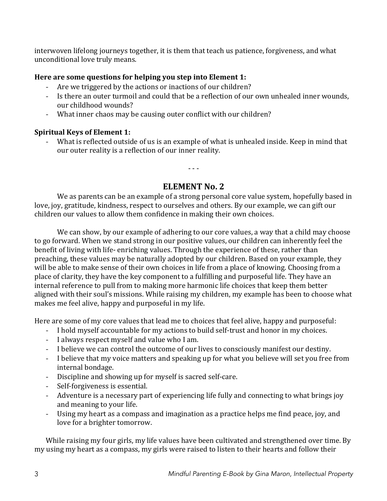interwoven lifelong journeys together, it is them that teach us patience, forgiveness, and what unconditional love truly means.

## Here are some questions for helping you step into Element 1:

- Are we triggered by the actions or inactions of our children?
- Is there an outer turmoil and could that be a reflection of our own unhealed inner wounds, our childhood wounds?
- What inner chaos may be causing outer conflict with our children?

## **Spiritual Keys of Element 1:**

- What is reflected outside of us is an example of what is unhealed inside. Keep in mind that our outer reality is a reflection of our inner reality.

# **ELEMENT No. 2**

- - -

We as parents can be an example of a strong personal core value system, hopefully based in love, joy, gratitude, kindness, respect to ourselves and others. By our example, we can gift our children our values to allow them confidence in making their own choices.

We can show, by our example of adhering to our core values, a way that a child may choose to go forward. When we stand strong in our positive values, our children can inherently feel the benefit of living with life- enriching values. Through the experience of these, rather than preaching, these values may be naturally adopted by our children. Based on your example, they will be able to make sense of their own choices in life from a place of knowing. Choosing from a place of clarity, they have the key component to a fulfilling and purposeful life. They have an internal reference to pull from to making more harmonic life choices that keep them better aligned with their soul's missions. While raising my children, my example has been to choose what makes me feel alive, happy and purposeful in my life.

Here are some of my core values that lead me to choices that feel alive, happy and purposeful:

- I hold myself accountable for my actions to build self-trust and honor in my choices.
- I always respect myself and value who I am.
- I believe we can control the outcome of our lives to consciously manifest our destiny.
- I believe that my voice matters and speaking up for what you believe will set you free from internal bondage.
- Discipline and showing up for myself is sacred self-care.
- Self-forgiveness is essential.
- Adventure is a necessary part of experiencing life fully and connecting to what brings joy and meaning to your life.
- Using my heart as a compass and imagination as a practice helps me find peace, joy, and love for a brighter tomorrow.

While raising my four girls, my life values have been cultivated and strengthened over time. By my using my heart as a compass, my girls were raised to listen to their hearts and follow their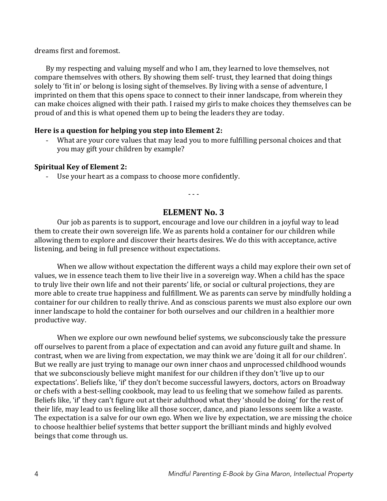dreams first and foremost.

By my respecting and valuing myself and who I am, they learned to love themselves, not compare themselves with others. By showing them self- trust, they learned that doing things solely to 'fit in' or belong is losing sight of themselves. By living with a sense of adventure, I imprinted on them that this opens space to connect to their inner landscape, from wherein they can make choices aligned with their path. I raised my girls to make choices they themselves can be proud of and this is what opened them up to being the leaders they are today.

#### **Here is a question for helping you step into Element 2:**

What are your core values that may lead you to more fulfilling personal choices and that you may gift your children by example?

#### **Spiritual Key of Element 2:**

Use your heart as a compass to choose more confidently.

- - -

## **ELEMENT No. 3**

Our job as parents is to support, encourage and love our children in a joyful way to lead them to create their own sovereign life. We as parents hold a container for our children while allowing them to explore and discover their hearts desires. We do this with acceptance, active listening, and being in full presence without expectations.

When we allow without expectation the different ways a child may explore their own set of values, we in essence teach them to live their live in a sovereign way. When a child has the space to truly live their own life and not their parents' life, or social or cultural projections, they are more able to create true happiness and fulfillment. We as parents can serve by mindfully holding a container for our children to really thrive. And as conscious parents we must also explore our own inner landscape to hold the container for both ourselves and our children in a healthier more productive way.

When we explore our own newfound belief systems, we subconsciously take the pressure off ourselves to parent from a place of expectation and can avoid any future guilt and shame. In contrast, when we are living from expectation, we may think we are 'doing it all for our children'. But we really are just trying to manage our own inner chaos and unprocessed childhood wounds that we subconsciously believe might manifest for our children if they don't 'live up to our expectations'. Beliefs like, 'if' they don't become successful lawyers, doctors, actors on Broadway or chefs with a best-selling cookbook, may lead to us feeling that we somehow failed as parents. Beliefs like, 'if' they can't figure out at their adulthood what they 'should be doing' for the rest of their life, may lead to us feeling like all those soccer, dance, and piano lessons seem like a waste. The expectation is a salve for our own ego. When we live by expectation, we are missing the choice to choose healthier belief systems that better support the brilliant minds and highly evolved beings that come through us.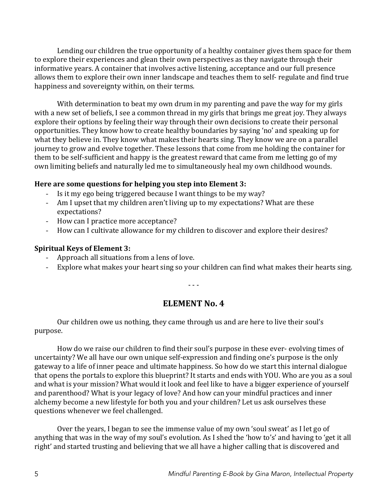Lending our children the true opportunity of a healthy container gives them space for them to explore their experiences and glean their own perspectives as they navigate through their informative years. A container that involves active listening, acceptance and our full presence allows them to explore their own inner landscape and teaches them to self- regulate and find true happiness and sovereignty within, on their terms.

With determination to beat my own drum in my parenting and pave the way for my girls with a new set of beliefs, I see a common thread in my girls that brings me great joy. They always explore their options by feeling their way through their own decisions to create their personal opportunities. They know how to create healthy boundaries by saying 'no' and speaking up for what they believe in. They know what makes their hearts sing. They know we are on a parallel journey to grow and evolve together. These lessons that come from me holding the container for them to be self-sufficient and happy is the greatest reward that came from me letting go of my own limiting beliefs and naturally led me to simultaneously heal my own childhood wounds.

#### Here are some questions for helping you step into Element 3:

- Is it my ego being triggered because I want things to be my way?
- Am I upset that my children aren't living up to my expectations? What are these expectations?
- How can I practice more acceptance?
- How can I cultivate allowance for my children to discover and explore their desires?

#### **Spiritual Keys of Element 3:**

- Approach all situations from a lens of love.
- Explore what makes your heart sing so your children can find what makes their hearts sing.

- - -

# **ELEMENT** No. 4

Our children owe us nothing, they came through us and are here to live their soul's purpose.

How do we raise our children to find their soul's purpose in these ever- evolving times of uncertainty? We all have our own unique self-expression and finding one's purpose is the only gateway to a life of inner peace and ultimate happiness. So how do we start this internal dialogue that opens the portals to explore this blueprint? It starts and ends with YOU. Who are you as a soul and what is your mission? What would it look and feel like to have a bigger experience of yourself and parenthood? What is your legacy of love? And how can your mindful practices and inner alchemy become a new lifestyle for both you and your children? Let us ask ourselves these questions whenever we feel challenged.

Over the years, I began to see the immense value of my own 'soul sweat' as I let go of anything that was in the way of my soul's evolution. As I shed the 'how to's' and having to 'get it all right' and started trusting and believing that we all have a higher calling that is discovered and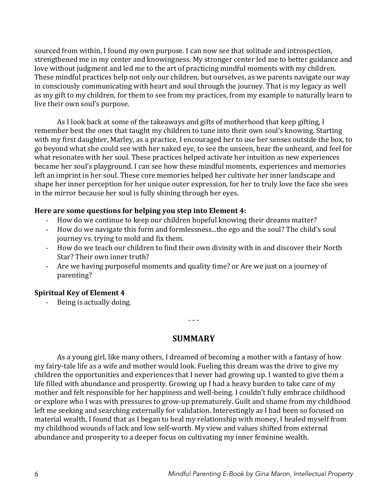sourced from within, I found my own purpose. I can now see that solitude and introspection, strengthened me in my center and knowingness. My stronger center led me to better guidance and love without judgment and led me to the art of practicing mindful moments with my children. These mindful practices help not only our children, but ourselves, as we parents navigate our way in consciously communicating with heart and soul through the journey. That is my legacy as well as my gift to my children, for them to see from my practices, from my example to naturally learn to live their own soul's purpose.

As I look back at some of the takeaways and gifts of motherhood that keep gifting, I remember best the ones that taught my children to tune into their own soul's knowing. Starting with my first daughter, Marley, as a practice, I encouraged her to use her senses outside the box, to go beyond what she could see with her naked eye, to see the unseen, hear the unheard, and feel for what resonates with her soul. These practices helped activate her intuition as new experiences became her soul's playground. I can see how these mindful moments, experiences and memories left an imprint in her soul. These core memories helped her cultivate her inner landscape and shape her inner perception for her unique outer expression, for her to truly love the face she sees in the mirror because her soul is fully shining through her eyes.

#### Here are some questions for helping you step into Element 4:

- How do we continue to keep our children hopeful knowing their dreams matter?
- How do we navigate this form and formlessness...the ego and the soul? The child's soul journey vs. trying to mold and fix them.
- How do we teach our children to find their own divinity with in and discover their North Star? Their own inner truth?
- Are we having purposeful moments and quality time? or Are we just on a journey of parenting?

### **Spiritual Key of Element 4**

- Being is actually doing.

- - -

# **SUMMARY**

As a young girl, like many others, I dreamed of becoming a mother with a fantasy of how my fairy-tale life as a wife and mother would look. Fueling this dream was the drive to give my children the opportunities and experiences that I never had growing up. I wanted to give them a life filled with abundance and prosperity. Growing up I had a heavy burden to take care of my mother and felt responsible for her happiness and well-being. I couldn't fully embrace childhood or explore who I was with pressures to grow-up prematurely. Guilt and shame from my childhood left me seeking and searching externally for validation. Interestingly as I had been so focused on material wealth, I found that as I began to heal my relationship with money, I healed myself from my childhood wounds of lack and low self-worth. My view and values shifted from external abundance and prosperity to a deeper focus on cultivating my inner feminine wealth.